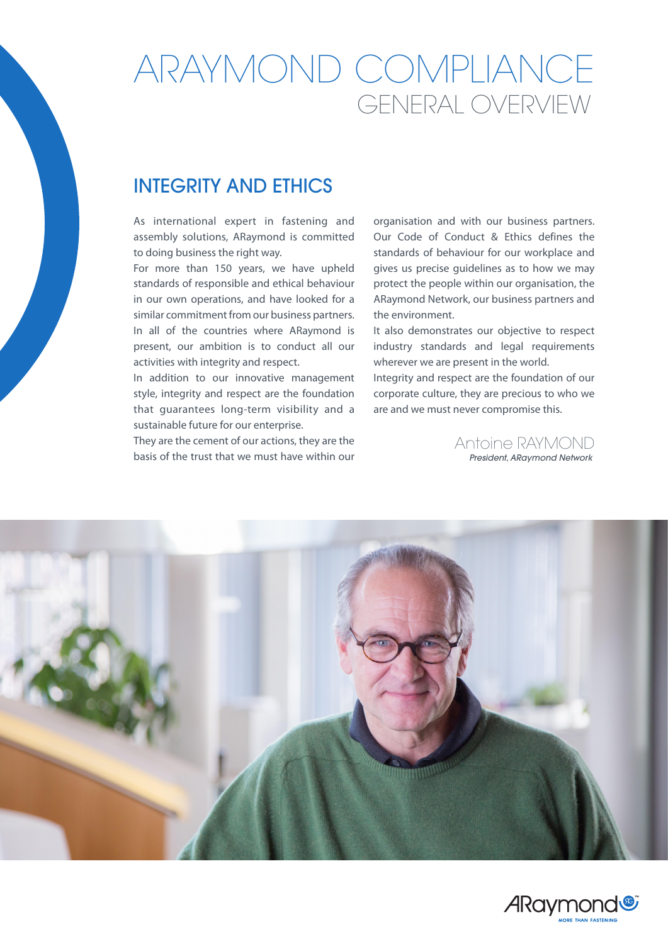# ARAYMOND COMPLIANCE GENERAL OVERVIEW

### INTEGRITY AND ETHICS

As international expert in fastening and assembly solutions, ARaymond is committed to doing business the right way.

For more than 150 years, we have upheld standards of responsible and ethical behaviour in our own operations, and have looked for a similar commitment from our business partners. In all of the countries where ARaymond is present, our ambition is to conduct all our activities with integrity and respect.

In addition to our innovative management style, integrity and respect are the foundation that guarantees long-term visibility and a sustainable future for our enterprise.

They are the cement of our actions, they are the basis of the trust that we must have within our

organisation and with our business partners. Our Code of Conduct & Ethics defines the standards of behaviour for our workplace and gives us precise guidelines as to how we may protect the people within our organisation, the ARaymond Network, our business partners and the environment.

It also demonstrates our objective to respect industry standards and legal requirements wherever we are present in the world.

Integrity and respect are the foundation of our corporate culture, they are precious to who we are and we must never compromise this.

> *President, ARaymond Network* Antoine RAYMOND



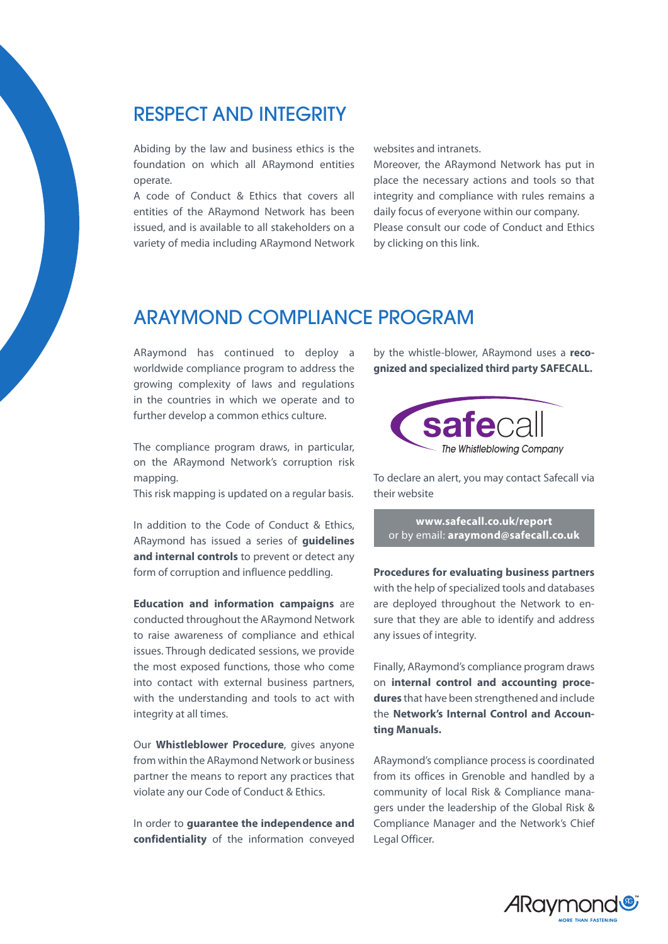#### RESPECT AND INTEGRITY

Abiding by the law and business ethics is the foundation on which all ARaymond entities operate.

A code of Conduct & Ethics that covers all entities of the ARaymond Network has been issued, and is available to all stakeholders on a variety of media including ARaymond Network websites and intranets.

Moreover, the ARaymond Network has put in place the necessary actions and tools so that integrity and compliance with rules remains a daily focus of everyone within our company. Please consult our code of Conduct and Ethics by clicking on this link.

#### ARAYMOND COMPLIANCE PROGRAM

ARaymond has continued to deploy a worldwide compliance program to address the growing complexity of laws and regulations in the countries in which we operate and to further develop a common ethics culture.

The compliance program draws, in particular, on the ARaymond Network's corruption risk mapping.

This risk mapping is updated on a regular basis.

In addition to the Code of Conduct & Ethics, ARaymond has issued a series of **guidelines and internal controls** to prevent or detect any form of corruption and influence peddling.

**Education and information campaigns** are conducted throughout the ARaymond Network to raise awareness of compliance and ethical issues. Through dedicated sessions, we provide the most exposed functions, those who come into contact with external business partners, with the understanding and tools to act with integrity at all times.

Our **Whistleblower Procedure**, gives anyone from within the ARaymond Network or business partner the means to report any practices that violate any our Code of Conduct & Ethics.

In order to **guarantee the independence and confidentiality** of the information conveyed by the whistle-blower, ARaymond uses a **recognized and specialized third party SAFECALL.**



To declare an alert, you may contact Safecall via their website

**www.safecall.co.uk/report** or by email: **araymond@safecall.co.uk**

**Procedures for evaluating business partners**  with the help of specialized tools and databases are deployed throughout the Network to ensure that they are able to identify and address any issues of integrity.

Finally, ARaymond's compliance program draws on **internal control and accounting procedures** that have been strengthened and include the **Network's Internal Control and Accounting Manuals.**

ARaymond's compliance process is coordinated from its offices in Grenoble and handled by a community of local Risk & Compliance managers under the leadership of the Global Risk & Compliance Manager and the Network's Chief Legal Officer.